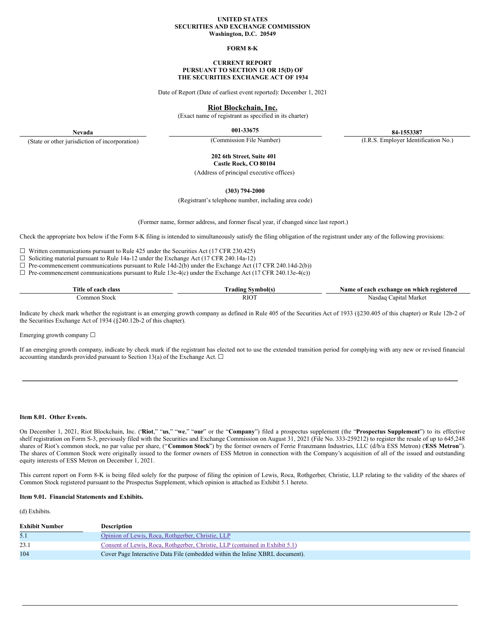## **UNITED STATES SECURITIES AND EXCHANGE COMMISSION Washington, D.C. 20549**

## **FORM 8-K**

### **CURRENT REPORT PURSUANT TO SECTION 13 OR 15(D) OF THE SECURITIES EXCHANGE ACT OF 1934**

Date of Report (Date of earliest event reported): December 1, 2021

# **Riot Blockchain, Inc.**

(Exact name of registrant as specified in its charter)

**Nevada** (State or other jurisdiction of incorporation)

**001-33675 84-1553387**

(Commission File Number) (I.R.S. Employer Identification No.)

**202 6th Street, Suite 401 Castle Rock, CO 80104**

(Address of principal executive offices)

**(303) 794-2000**

(Registrant's telephone number, including area code)

(Former name, former address, and former fiscal year, if changed since last report.)

Check the appropriate box below if the Form 8-K filing is intended to simultaneously satisfy the filing obligation of the registrant under any of the following provisions:

☐ Written communications pursuant to Rule 425 under the Securities Act (17 CFR 230.425)

☐ Soliciting material pursuant to Rule 14a-12 under the Exchange Act (17 CFR 240.14a-12)

 $\Box$  Pre-commencement communications pursuant to Rule 14d-2(b) under the Exchange Act (17 CFR 240.14d-2(b))

 $\Box$  Pre-commencement communications pursuant to Rule 13e-4(c) under the Exchange Act (17 CFR 240.13e-4(c))

| $T = 1$<br>l`itk<br>Alace<br><u> 000 </u><br>лам | ıng | ንተሰሥሰጡ<br>оn<br>"O018<br>whic<br>:hange<br>01<br>Λv<br>уян |
|--------------------------------------------------|-----|------------------------------------------------------------|
| าmmเ                                             | RI  | anıta<br>Marke<br>Nasdag                                   |

Indicate by check mark whether the registrant is an emerging growth company as defined in Rule 405 of the Securities Act of 1933 (§230.405 of this chapter) or Rule 12b-2 of the Securities Exchange Act of 1934 (§240.12b-2 of this chapter).

Emerging growth company  $\Box$ 

If an emerging growth company, indicate by check mark if the registrant has elected not to use the extended transition period for complying with any new or revised financial accounting standards provided pursuant to Section 13(a) of the Exchange Act.  $\square$ 

## **Item 8.01. Other Events.**

On December 1, 2021, Riot Blockchain, Inc. ("**Riot**," "**us**," "**we**," "**our**" or the "**Company**") filed a prospectus supplement (the "**Prospectus Supplement**") to its effective shelf registration on Form S-3, previously filed with the Securities and Exchange Commission on August 31, 2021 (File No. 333-259212) to register the resale of up to 645,248 shares of Riot's common stock, no par value per share, ("**Common Stock**") by the former owners of Ferrie Franzmann Industries, LLC (d/b/a ESS Metron) ("**ESS Metron**"). The shares of Common Stock were originally issued to the former owners of ESS Metron in connection with the Company's acquisition of all of the issued and outstanding equity interests of ESS Metron on December 1, 2021.

This current report on Form 8-K is being filed solely for the purpose of filing the opinion of Lewis, Roca, Rothgerber, Christie, LLP relating to the validity of the shares of Common Stock registered pursuant to the Prospectus Supplement, which opinion is attached as Exhibit 5.1 hereto.

## **Item 9.01. Financial Statements and Exhibits.**

(d) Exhibits.

| <b>Exhibit Number</b> | <b>Description</b>                                                           |
|-----------------------|------------------------------------------------------------------------------|
|                       | Opinion of Lewis, Roca, Rothgerber, Christie, LLP                            |
| 23.1                  | Consent of Lewis, Roca, Rothgerber, Christie, LLP (contained in Exhibit 5.1) |
| 104                   | Cover Page Interactive Data File (embedded within the Inline XBRL document). |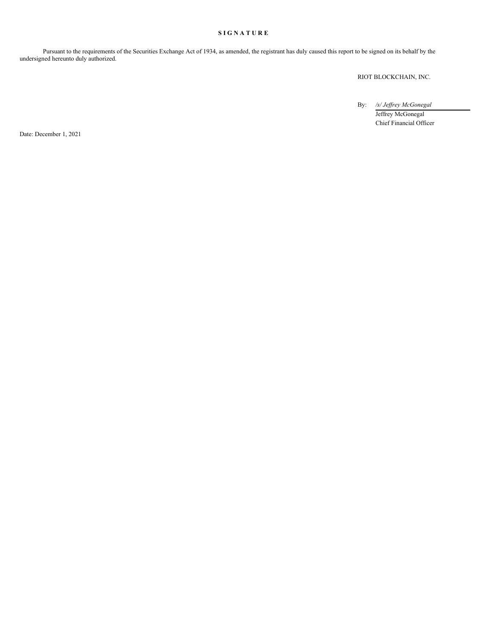# **S I G N A T U R E**

Pursuant to the requirements of the Securities Exchange Act of 1934, as amended, the registrant has duly caused this report to be signed on its behalf by the undersigned hereunto duly authorized.

RIOT BLOCKCHAIN, INC.

By: */s/ Jef rey McGonegal*

Jeffrey McGonegal Chief Financial Officer

Date: December 1, 2021